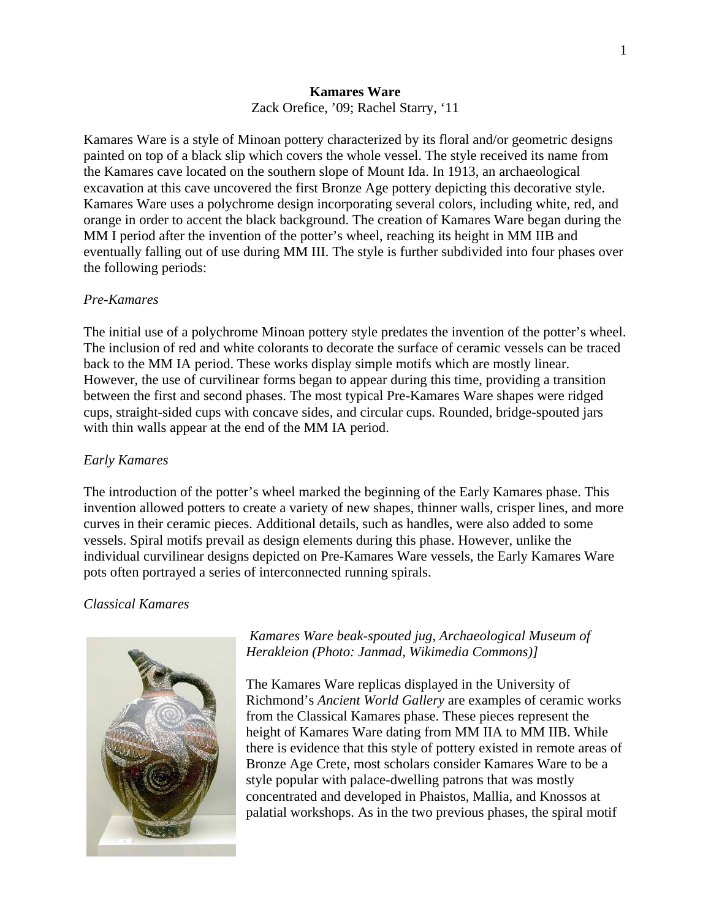## **Kamares Ware**  Zack Orefice, '09; Rachel Starry, '11

Kamares Ware is a style of Minoan pottery characterized by its floral and/or geometric designs painted on top of a black slip which covers the whole vessel. The style received its name from the Kamares cave located on the southern slope of Mount Ida. In 1913, an archaeological excavation at this cave uncovered the first Bronze Age pottery depicting this decorative style. Kamares Ware uses a polychrome design incorporating several colors, including white, red, and orange in order to accent the black background. The creation of Kamares Ware began during the MM I period after the invention of the potter's wheel, reaching its height in MM IIB and eventually falling out of use during MM III. The style is further subdivided into four phases over the following periods:

## *Pre-Kamares*

The initial use of a polychrome Minoan pottery style predates the invention of the potter's wheel. The inclusion of red and white colorants to decorate the surface of ceramic vessels can be traced back to the MM IA period. These works display simple motifs which are mostly linear. However, the use of curvilinear forms began to appear during this time, providing a transition between the first and second phases. The most typical Pre-Kamares Ware shapes were ridged cups, straight-sided cups with concave sides, and circular cups. Rounded, bridge-spouted jars with thin walls appear at the end of the MM IA period.

# *Early Kamares*

The introduction of the potter's wheel marked the beginning of the Early Kamares phase. This invention allowed potters to create a variety of new shapes, thinner walls, crisper lines, and more curves in their ceramic pieces. Additional details, such as handles, were also added to some vessels. Spiral motifs prevail as design elements during this phase. However, unlike the individual curvilinear designs depicted on Pre-Kamares Ware vessels, the Early Kamares Ware pots often portrayed a series of interconnected running spirals.

# *Classical Kamares*



# *Kamares Ware beak-spouted jug, Archaeological Museum of Herakleion (Photo: Janmad, Wikimedia Commons)]*

The Kamares Ware replicas displayed in the University of Richmond's *Ancient World Gallery* are examples of ceramic works from the Classical Kamares phase. These pieces represent the height of Kamares Ware dating from MM IIA to MM IIB. While there is evidence that this style of pottery existed in remote areas of Bronze Age Crete, most scholars consider Kamares Ware to be a style popular with palace-dwelling patrons that was mostly concentrated and developed in Phaistos, Mallia, and Knossos at palatial workshops. As in the two previous phases, the spiral motif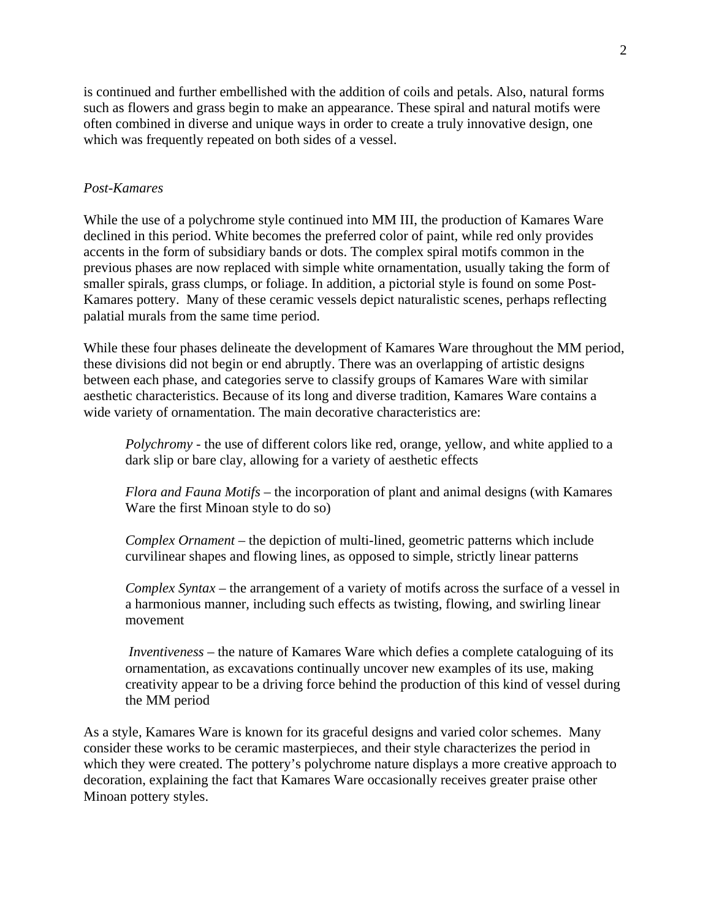is continued and further embellished with the addition of coils and petals. Also, natural forms such as flowers and grass begin to make an appearance. These spiral and natural motifs were often combined in diverse and unique ways in order to create a truly innovative design, one which was frequently repeated on both sides of a vessel.

#### *Post-Kamares*

While the use of a polychrome style continued into MM III, the production of Kamares Ware declined in this period. White becomes the preferred color of paint, while red only provides accents in the form of subsidiary bands or dots. The complex spiral motifs common in the previous phases are now replaced with simple white ornamentation, usually taking the form of smaller spirals, grass clumps, or foliage. In addition, a pictorial style is found on some Post-Kamares pottery. Many of these ceramic vessels depict naturalistic scenes, perhaps reflecting palatial murals from the same time period.

While these four phases delineate the development of Kamares Ware throughout the MM period, these divisions did not begin or end abruptly. There was an overlapping of artistic designs between each phase, and categories serve to classify groups of Kamares Ware with similar aesthetic characteristics. Because of its long and diverse tradition, Kamares Ware contains a wide variety of ornamentation. The main decorative characteristics are:

*Polychromy* - the use of different colors like red, orange, yellow, and white applied to a dark slip or bare clay, allowing for a variety of aesthetic effects

*Flora and Fauna Motifs* – the incorporation of plant and animal designs (with Kamares Ware the first Minoan style to do so)

*Complex Ornament* – the depiction of multi-lined, geometric patterns which include curvilinear shapes and flowing lines, as opposed to simple, strictly linear patterns

*Complex Syntax* – the arrangement of a variety of motifs across the surface of a vessel in a harmonious manner, including such effects as twisting, flowing, and swirling linear movement

*Inventiveness* – the nature of Kamares Ware which defies a complete cataloguing of its ornamentation, as excavations continually uncover new examples of its use, making creativity appear to be a driving force behind the production of this kind of vessel during the MM period

As a style, Kamares Ware is known for its graceful designs and varied color schemes. Many consider these works to be ceramic masterpieces, and their style characterizes the period in which they were created. The pottery's polychrome nature displays a more creative approach to decoration, explaining the fact that Kamares Ware occasionally receives greater praise other Minoan pottery styles.